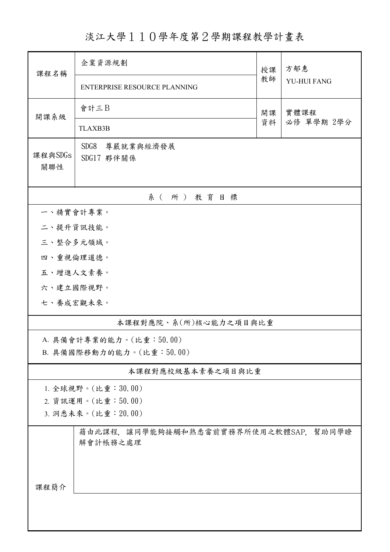淡江大學110學年度第2學期課程教學計畫表

| 課程名稱                     | 企業資源規劃                                           | 授課 | 方郁惠<br>YU-HUI FANG |  |  |  |  |  |
|--------------------------|--------------------------------------------------|----|--------------------|--|--|--|--|--|
|                          | ENTERPRISE RESOURCE PLANNING                     | 教師 |                    |  |  |  |  |  |
| 開課系級                     | 會計三B                                             | 開課 | 實體課程<br>必修 單學期 2學分 |  |  |  |  |  |
|                          | <b>TLAXB3B</b>                                   | 資料 |                    |  |  |  |  |  |
| 課程與SDGs<br>關聯性           | SDG8<br>尊嚴就業與經濟發展<br>SDG17 夥伴關係                  |    |                    |  |  |  |  |  |
| 系(所)教育目標                 |                                                  |    |                    |  |  |  |  |  |
|                          | 一、精實會計專業。                                        |    |                    |  |  |  |  |  |
| 二、提升資訊技能。                |                                                  |    |                    |  |  |  |  |  |
| 三、整合多元領域。                |                                                  |    |                    |  |  |  |  |  |
| 四、重視倫理道德。                |                                                  |    |                    |  |  |  |  |  |
| 五、增進人文素養。                |                                                  |    |                    |  |  |  |  |  |
| 六、建立國際視野。                |                                                  |    |                    |  |  |  |  |  |
| 七、養成宏觀未來。                |                                                  |    |                    |  |  |  |  |  |
| 本課程對應院、系(所)核心能力之項目與比重    |                                                  |    |                    |  |  |  |  |  |
|                          | A. 具備會計專業的能力。(比重:50.00)                          |    |                    |  |  |  |  |  |
| B. 具備國際移動力的能力。(比重:50.00) |                                                  |    |                    |  |  |  |  |  |
| 本課程對應校級基本素養之項目與比重        |                                                  |    |                    |  |  |  |  |  |
| 1. 全球視野。(比重:30.00)       |                                                  |    |                    |  |  |  |  |  |
| 2. 資訊運用。(比重:50.00)       |                                                  |    |                    |  |  |  |  |  |
| 3. 洞悉未來。(比重: 20.00)      |                                                  |    |                    |  |  |  |  |  |
|                          | 藉由此課程,讓同學能夠接觸和熟悉當前實務界所使用之軟體SAP,幫助同學瞭<br>解會計帳務之處理 |    |                    |  |  |  |  |  |
| 課程簡介                     |                                                  |    |                    |  |  |  |  |  |
|                          |                                                  |    |                    |  |  |  |  |  |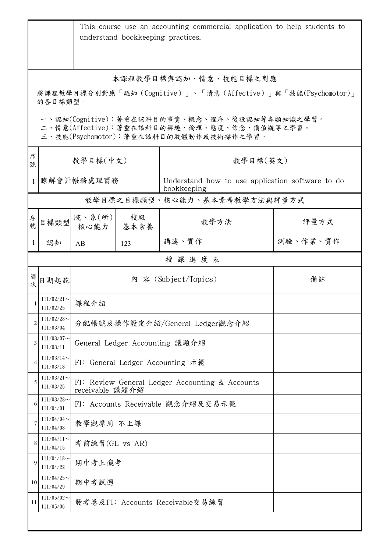|                                                                                                                                        | This course use an accounting commercial application to help students to<br>understand bookkeeping practices. |                                                                    |            |                                                                 |          |  |  |
|----------------------------------------------------------------------------------------------------------------------------------------|---------------------------------------------------------------------------------------------------------------|--------------------------------------------------------------------|------------|-----------------------------------------------------------------|----------|--|--|
| 本課程教學目標與認知、情意、技能目標之對應<br>將課程教學目標分別對應「認知(Cognitive)」、「情意(Affective)」與「技能(Psychomotor)」<br>的各目標類型。                                       |                                                                                                               |                                                                    |            |                                                                 |          |  |  |
| 一、認知(Cognitive):著重在該科目的事實、概念、程序、後設認知等各類知識之學習。<br>二、情意(Affective):著重在該科目的興趣、倫理、態度、信念、價值觀等之學習。<br>三、技能(Psychomotor):著重在該科目的肢體動作或技術操作之學習。 |                                                                                                               |                                                                    |            |                                                                 |          |  |  |
| 序<br>號                                                                                                                                 | 教學目標(中文)                                                                                                      |                                                                    |            | 教學目標(英文)                                                        |          |  |  |
| $\mathbf{1}$                                                                                                                           |                                                                                                               | 瞭解會計帳務處理實務                                                         |            | Understand how to use application software to do<br>bookkeeping |          |  |  |
|                                                                                                                                        |                                                                                                               |                                                                    |            | 教學目標之目標類型、核心能力、基本素養教學方法與評量方式                                    |          |  |  |
| 序號                                                                                                                                     | 目標類型                                                                                                          | 院、系(所)<br>核心能力                                                     | 校級<br>基本素養 | 教學方法                                                            | 評量方式     |  |  |
| 1                                                                                                                                      | 認知                                                                                                            | AB                                                                 | 123        | 講述、實作                                                           | 測驗、作業、實作 |  |  |
|                                                                                                                                        |                                                                                                               |                                                                    |            | 授課進度表                                                           |          |  |  |
| 週<br>式                                                                                                                                 | 日期起訖                                                                                                          |                                                                    |            | 內 容 (Subject/Topics)                                            | 備註       |  |  |
|                                                                                                                                        | $111/02/21$ ~<br>111/02/25                                                                                    | 課程介紹                                                               |            |                                                                 |          |  |  |
| $\overline{2}$                                                                                                                         | $111/02/28$ ~<br>111/03/04                                                                                    | 分配帳號及操作設定介紹/General Ledger觀念介紹                                     |            |                                                                 |          |  |  |
| 3                                                                                                                                      | $111/03/07$ ~<br>111/03/11                                                                                    | General Ledger Accounting 議題介紹                                     |            |                                                                 |          |  |  |
| 4                                                                                                                                      | $111/03/14$ ~<br>111/03/18                                                                                    | FI: General Ledger Accounting 示範                                   |            |                                                                 |          |  |  |
| 5                                                                                                                                      | $111/03/21$ ~<br>111/03/25                                                                                    | FI: Review General Ledger Accounting & Accounts<br>receivable 議題介紹 |            |                                                                 |          |  |  |
| 6                                                                                                                                      | $111/03/28$ ~<br>111/04/01                                                                                    | FI: Accounts Receivable 觀念介紹及交易示範                                  |            |                                                                 |          |  |  |
| 7                                                                                                                                      | $111/04/04$ ~<br>111/04/08                                                                                    |                                                                    | 教學觀摩周 不上課  |                                                                 |          |  |  |
| 8                                                                                                                                      | $111/04/11$ ~<br>111/04/15                                                                                    | 考前練習(GL vs AR)                                                     |            |                                                                 |          |  |  |
| 9                                                                                                                                      | $111/04/18$ ~<br>111/04/22                                                                                    |                                                                    | 期中考上機考     |                                                                 |          |  |  |
| 10                                                                                                                                     | $111/04/25$ ~<br>111/04/29                                                                                    | 期中考試週                                                              |            |                                                                 |          |  |  |
| 11                                                                                                                                     | $111/05/02$ ~<br>111/05/06                                                                                    | 發考卷及FI: Accounts Receivable交易練習                                    |            |                                                                 |          |  |  |
|                                                                                                                                        |                                                                                                               |                                                                    |            |                                                                 |          |  |  |